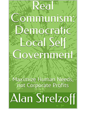## ommunism emocrat  $500$ e overnment

Maximize Human Needs, not Corporate Profits

Alan Strelzoff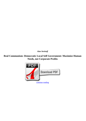*Alan Strelzoff*

## **Real Communism: Democratic Local Self Government: Maximize Human Needs, not Corporate Profits**

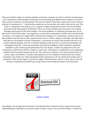There are problems inside our existing capitalist system that i propose can only be solved by transitioning to real Communism. I define genuine Communism to end up being quite different than whatever occurred in Russia where it ended up as a Dictatorship. This may not really be what Marx experienced at heart when he referred to Communism as, " I describe how production can be matched with needs in the lack of cash..This book is a companion to my blog at www. I propose a highly decentralized system of local self federal government.The Emancipation of Mankind" There are various problems that arise such as for example shortages and incentive.In the initial chapter, I list all the problems in Capitalism and argue they are all reflections of the benefit system. I am opposed to an insurrection and propose to build a mass movement that can muster a vast majority of support before effecting the changeover to Communism. I propose answers to these problems and also discuss other important issues such as culture, religion, technology, and other topics that make up a description of actual Communism. I concentrate on racism as the primary bulwark of our current Capitalist program. The US is normally drifting towards Fascism as racism and Xenophobic anti immigration intensify. I claim that automation and artificial intelligence make Capitalism completely untenable as jobs vanish.org.realcommunism.In the 3rd chapter, I outline my proposal for how real Communism could be built and how I believe it could work. Automation is wonderful for us by eliminating repetitive jobs that human beings need not do. This will leave us absolve to do creative function like art, science, sports, and hobbies. Certainly emancipation has to be considered a totally democratic system. Essentially, they hardly ever really attemptedto build Communism at all, but instead built another type of Capitalism. In the second chapter, I present my sights of Russian history and try to show where in fact the Russian Communists proceeded to go wrong. Please visit the blog and donate to the discussion.



[continue reading](http://bit.ly/2Tge8Fv)

Great depth, very moving and educational A well-planned book. Essential read for anyone serious about understanding the challenges we encounter today as today's society. I'm sure it'll be brilliant. I would even